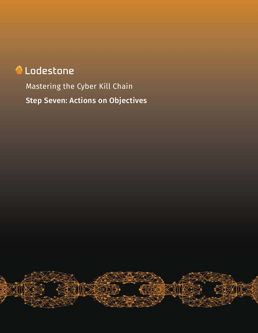# **A** Lodestone

Mastering the Cyber Kill Chain Step Seven: Actions on Objectives

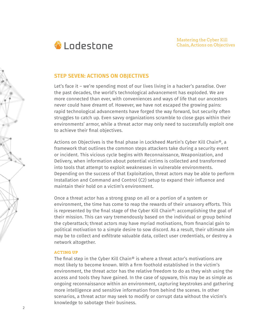

# **STEP SEVEN: ACTIONS ON OBJECTIVES**

Let's face it – we're spending most of our lives living in a hacker's paradise. Over the past decades, the world's technological advancement has exploded. We are more connected than ever, with conveniences and ways of life that our ancestors never could have dreamt of. However, we have not escaped the growing pains: rapid technological advancements have forged the way forward, but security often struggles to catch up. Even savvy organizations scramble to close gaps within their environments' armor, while a threat actor may only need to successfully exploit one to achieve their final objectives.

Actions on Objectives is the final phase in Lockheed Martin's Cyber Kill Chain®, a framework that outlines the common steps attackers take during a security event or incident. This vicious cycle begins with Reconnaissance, Weaponization, and Delivery, when information about potential victims is collected and transformed into tools that attempt to exploit weaknesses in vulnerable environments. Depending on the success of that Exploitation, threat actors may be able to perform Installation and Command and Control (C2) setup to expand their influence and maintain their hold on a victim's environment.

Once a threat actor has a strong grasp on all or a portion of a system or environment, the time has come to reap the rewards of their unsavory efforts. This is represented by the final stage of the Cyber Kill Chain®: accomplishing the goal of their mission. This can vary tremendously based on the individual or group behind the cyberattack; threat actors may have myriad motivations, from financial gain to political motivation to a simple desire to sow discord. As a result, their ultimate aim may be to collect and exfiltrate valuable data, collect user credentials, or destroy a network altogether.

# **ACTING UP**

The final step in the Cyber Kill Chain® is where a threat actor's motivations are most likely to become known. With a firm foothold established in the victim's environment, the threat actor has the relative freedom to do as they wish using the access and tools they have gained. In the case of spyware, this may be as simple as ongoing reconnaissance within an environment, capturing keystrokes and gathering more intelligence and sensitive information from behind the scenes. In other scenarios, a threat actor may seek to modify or corrupt data without the victim's knowledge to sabotage their business.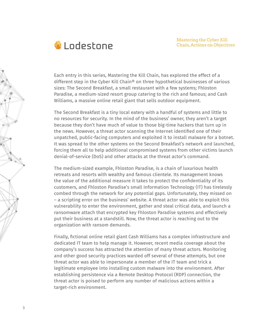

Each entry in this series, Mastering the Kill Chain, has explored the effect of a different step in the Cyber Kill Chain® on three hypothetical businesses of various sizes: The Second Breakfast, a small restaurant with a few systems; Fhloston Paradise, a medium-sized resort group catering to the rich and famous; and Cash Williams, a massive online retail giant that sells outdoor equipment.

The Second Breakfast is a tiny local eatery with a handful of systems and little to no resources for security. In the mind of the business' owner, they aren't a target because they don't have much of value to those big-time hackers that turn up in the news. However, a threat actor scanning the Internet identified one of their unpatched, public-facing computers and exploited it to install malware for a botnet. It was spread to the other systems on the Second Breakfast's network and launched, forcing them all to help additional compromised systems from other victims launch denial-of-service (DoS) and other attacks at the threat actor's command.

The medium-sized example, Fhloston Paradise, is a chain of luxurious health retreats and resorts with wealthy and famous clientele. Its management knows the value of the additional measure it takes to protect the confidentiality of its customers, and Fhloston Paradise's small Information Technology (IT) has tirelessly combed through the network for any potential gaps. Unfortunately, they missed on – a scripting error on the business' website. A threat actor was able to exploit this vulnerability to enter the environment, gather and steal critical data, and launch a ransomware attach that encrypted key Fhloston Paradise systems and effectively put their business at a standstill. Now, the threat actor is reaching out to the organization with ransom demands.

Finally, fictional online retail giant Cash Williams has a complex infrastructure and dedicated IT team to help manage it. However, recent media coverage about the company's success has attracted the attention of many threat actors. Monitoring and other good security practices warded off several of these attempts, but one threat actor was able to impersonate a member of the IT team and trick a legitimate employee into installing custom malware into the environment. After establishing persistence via a Remote Desktop Protocol (RDP) connection, the threat actor is poised to perform any number of malicious actions within a target-rich environment.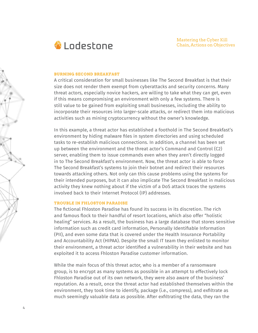

#### **BURNING SECOND BREAKFAST**

A critical consideration for small businesses like The Second Breakfast is that their size does not render them exempt from cyberattacks and security concerns. Many threat actors, especially novice hackers, are willing to take what they can get, even if this means compromising an environment with only a few systems. There is still value to be gained from exploiting small businesses, including the ability to incorporate their resources into larger-scale attacks, or redirect them into malicious activities such as mining cryptocurrency without the owner's knowledge.

In this example, a threat actor has established a foothold in The Second Breakfast's environment by hiding malware files in system directories and using scheduled tasks to re-establish malicious connections. In addition, a channel has been set up between the environment and the threat actor's Command and Control (C2) server, enabling them to issue commands even when they aren't directly logged in to The Second Breakfast's environment. Now, the threat actor is able to force The Second Breakfast's systems to join their botnet and redirect their resources towards attacking others. Not only can this cause problems using the systems for their intended purposes, but it can also implicate The Second Breakfast in malicious activity they knew nothing about if the victim of a DoS attack traces the systems involved back to their Internet Protocol (IP) addresses.

#### **TROUBLE IN FHLOSTON PARADISE**

4

The fictional Fhloston Paradise has found its success in its discretion. The rich and famous flock to their handful of resort locations, which also offer "holistic healing" services. As a result, the business has a large database that stores sensitive information such as credit card information, Personally Identifiable Information (PII), and even some data that is covered under the Health Insurance Portability and Accountability Act (HIPAA). Despite the small IT team they enlisted to monitor their environment, a threat actor identified a vulnerability in their website and has exploited it to access Fhloston Paradise customer information.

While the main focus of this threat actor, who is a member of a ransomware group, is to encrypt as many systems as possible in an attempt to effectively lock Fhloston Paradise out of its own network, they were also aware of the business' reputation. As a result, once the threat actor had established themselves within the environment, they took time to identify, package (i.e., compress), and exfiltrate as much seemingly valuable data as possible. After exfiltrating the data, they ran the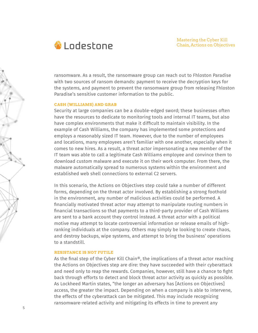

ransomware. As a result, the ransomware group can reach out to Fhloston Paradise with two sources of ransom demands: payment to receive the decryption keys for the systems, and payment to prevent the ransomware group from releasing Fhloston Paradise's sensitive customer information to the public.

### **CASH (WILLIAMS) AND GRAB**

Security at large companies can be a double-edged sword; these businesses often have the resources to dedicate to monitoring tools and internal IT teams, but also have complex environments that make it difficult to maintain visibility. In the example of Cash Williams, the company has implemented some protections and employs a reasonably sized IT team. However, due to the number of employees and locations, many employees aren't familiar with one another, especially when it comes to new hires. As a result, a threat actor impersonating a new member of the IT team was able to call a legitimate Cash Williams employee and convince them to download custom malware and execute it on their work computer. From there, the malware automatically spread to numerous systems within the environment and established web shell connections to external C2 servers.

In this scenario, the Actions on Objectives step could take a number of different forms, depending on the threat actor involved. By establishing a strong foothold in the environment, any number of malicious activities could be performed. A financially motivated threat actor may attempt to manipulate routing numbers in financial transactions so that payments to a third-party provider of Cash Williams are sent to a bank account they control instead. A threat actor with a political motive may attempt to locate controversial information or release emails of highranking individuals at the company. Others may simply be looking to create chaos, and destroy backups, wipe systems, and attempt to bring the business' operations to a standstill.

# **RESISTANCE IS NOT FUTILE**

As the final step of the Cyber Kill Chain®, the implications of a threat actor reaching the Actions on Objectives step are dire: they have succeeded with their cyberattack and need only to reap the rewards. Companies, however, still have a chance to fight back through efforts to detect and block threat actor activity as quickly as possible. As Lockheed Martin states, "the longer an adversary has [Actions on Objectives] access, the greater the impact. Depending on when a company is able to intervene, the effects of the cyberattack can be mitigated. This may include recognizing ransomware-related activity and mitigating its effects in time to prevent any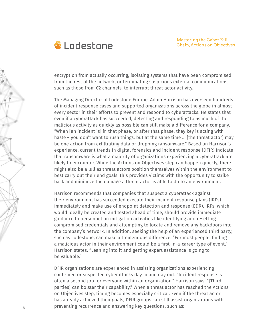

encryption from actually occurring, isolating systems that have been compromised from the rest of the network, or terminating suspicious external communications, such as those from C2 channels, to interrupt threat actor activity.

The Managing Director of Lodestone Europe, Adam Harrison has overseen hundreds of incident response cases and supported organizations across the globe in almost every sector in their efforts to prevent and respond to cyberattacks. He states that even if a cyberattack has succeeded, detecting and responding to as much of the malicious activity as quickly as possible can still make a difference for a company. "When [an incident is] in that phase, or after that phase, they key is acting with haste – you don't want to rush things, but at the same time … [the threat actor] may be one action from exfiltrating data or dropping ransomware." Based on Harrison's experience, current trends in digital forensics and incident response (DFIR) indicate that ransomware is what a majority of organizations experiencing a cyberattack are likely to encounter. While the Actions on Objectives step can happen quickly, there might also be a lull as threat actors position themselves within the environment to best carry out their end goals; this provides victims with the opportunity to strike back and minimize the damage a threat actor is able to do to an environment.

Harrison recommends that companies that suspect a cyberattack against their environment has succeeded execute their incident response plans (IRPs) immediately and make use of endpoint detection and response (EDR). IRPs, which would ideally be created and tested ahead of time, should provide immediate guidance to personnel on mitigation activities like identifying and resetting compromised credentials and attempting to locate and remove any backdoors into the company's network. In addition, seeking the help of an experienced third party, such as Lodestone, can make a tremendous difference. "For most people, finding a malicious actor in their environment could be a first-in-a-career type of event," Harrison states. "Leaning into it and getting expert assistance is going to be valuable."

DFIR organizations are experienced in assisting organizations experiencing confirmed or suspected cyberattacks day in and day out. "Incident response is often a second job for everyone within an organization," Harrison says. "[Third parties] can bolster their capability." When a threat actor has reached the Actions on Objectives step, timing becomes especially critical. Even if the threat actor has already achieved their goals, DFIR groups can still assist organizations with preventing recurrence and answering key questions, such as: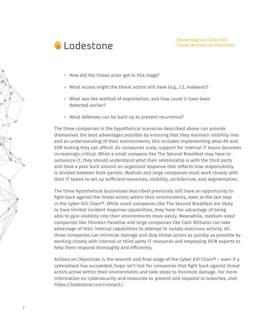

- $\blacktriangleright$  How did the threat actor get to this stage?
- $\triangleright$  What access might the threat actors still have (e.g., C2, malware)?
- $\triangleright$  What was the method of exploitation, and how could it have been detected earlier?
- ▶ What defenses can be built up to prevent recurrence?

The three companies in the hypothetical scenarios described above can provide themselves the best advantages possible by ensuring that they maintain visibility into and an understanding of their environments; this includes implementing what AV and EDR tooling they can afford. As companies scale, support for internal IT teams becomes increasingly critical. While a small company like The Second Breakfast may have to outsource IT, they should understand what their relationship is with the third party and have a plan built around an organized response that reflects how responsibility is divided between both parties. Medium and large companies must work closely with their IT teams to set up sufficient resources, visibility, architecture, and segmentation.

The three hypothetical businesses described previously still have an opportunity to fight back against the threat actors within their environments, even at the last step in the Cyber Kill Chain®. While small companies like The Second Breakfast are likely to have limited incident response capabilities, they have the advantage of being able to gain visibility into their environments more easily. Meanwhile, medium-sized companies like Fhloston Paradise and large companies like Cash Williams can take advantage of their internal capabilities to attempt to isolate malicious activity. All three companies can minimize damage and stop threat actors as quickly as possible by working closely with internal or third-party IT resources and employing DFIR experts to help them respond thoroughly and efficiently.

Actions on Objectives is the seventh and final stage of the Cyber Kill Chain<sup>®</sup> – even if a cyberattack has succeeded, hope isn't lost for companies that fight back against threat actors active within their environments and take steps to minimize damage. For more information on cybersecurity and resources to prevent and respond to breaches, visit https://lodestone.com/contact/.